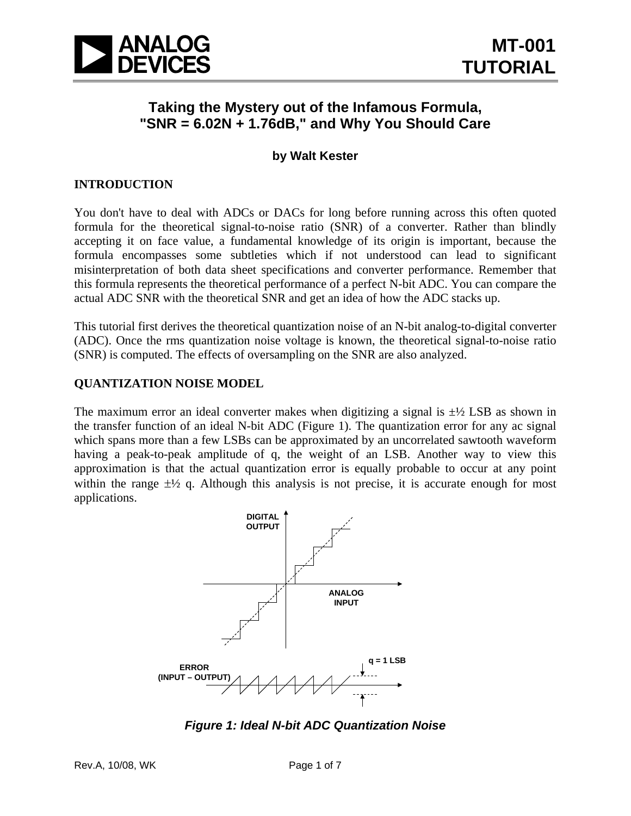

# **Taking the Mystery out of the Infamous Formula, "SNR = 6.02N + 1.76dB," and Why You Should Care**

# **by Walt Kester**

# **INTRODUCTION**

You don't have to deal with ADCs or DACs for long before running across this often quoted formula for the theoretical signal-to-noise ratio (SNR) of a converter. Rather than blindly accepting it on face value, a fundamental knowledge of its origin is important, because the formula encompasses some subtleties which if not understood can lead to significant misinterpretation of both data sheet specifications and converter performance. Remember that this formula represents the theoretical performance of a perfect N-bit ADC. You can compare the actual ADC SNR with the theoretical SNR and get an idea of how the ADC stacks up.

This tutorial first derives the theoretical quantization noise of an N-bit analog-to-digital converter (ADC). Once the rms quantization noise voltage is known, the theoretical signal-to-noise ratio (SNR) is computed. The effects of oversampling on the SNR are also analyzed.

#### **QUANTIZATION NOISE MODEL**

The maximum error an ideal converter makes when digitizing a signal is  $\pm\frac{1}{2}$  LSB as shown in the transfer function of an ideal N-bit ADC (Figure 1). The quantization error for any ac signal which spans more than a few LSBs can be approximated by an uncorrelated sawtooth waveform having a peak-to-peak amplitude of q, the weight of an LSB. Another way to view this approximation is that the actual quantization error is equally probable to occur at any point within the range  $\pm \frac{1}{2}$  q. Although this analysis is not precise, it is accurate enough for most applications.



*Figure 1: Ideal N-bit ADC Quantization Noise*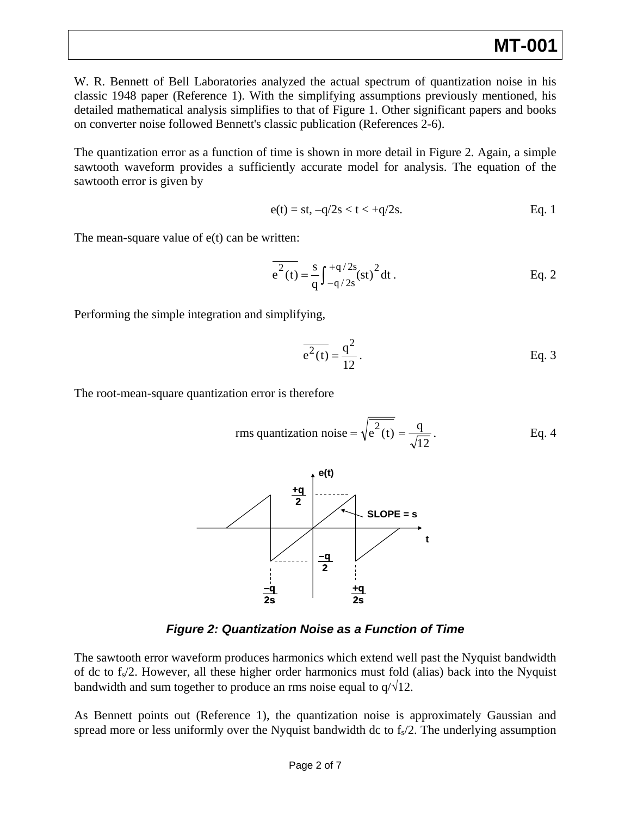W. R. Bennett of Bell Laboratories analyzed the actual spectrum of quantization noise in his classic 1948 paper (Reference 1). With the simplifying assumptions previously mentioned, his detailed mathematical analysis simplifies to that of Figure 1. Other significant papers and books on converter noise followed Bennett's classic publication (References 2-6).

The quantization error as a function of time is shown in more detail in Figure 2. Again, a simple sawtooth waveform provides a sufficiently accurate model for analysis. The equation of the sawtooth error is given by

$$
e(t) = st, -q/2s < t < +q/2s.
$$
 Eq. 1

The mean-square value of e(t) can be written:

$$
\overline{e^2(t)} = \frac{s}{q} \int_{-q/2s}^{+q/2s} (st)^2 dt.
$$
 Eq. 2

Performing the simple integration and simplifying,

$$
\overline{e^2(t)} = \frac{q^2}{12}.
$$
 Eq. 3

The root-mean-square quantization error is therefore

rms quantization noise = 
$$
\sqrt{e^2(t)} = \frac{q}{\sqrt{12}}
$$
. Eq. 4



*Figure 2: Quantization Noise as a Function of Time* 

The sawtooth error waveform produces harmonics which extend well past the Nyquist bandwidth of dc to  $f_s/2$ . However, all these higher order harmonics must fold (alias) back into the Nyquist bandwidth and sum together to produce an rms noise equal to  $q/\sqrt{12}$ .

As Bennett points out (Reference 1), the quantization noise is approximately Gaussian and spread more or less uniformly over the Nyquist bandwidth dc to  $f<sub>s</sub>/2$ . The underlying assumption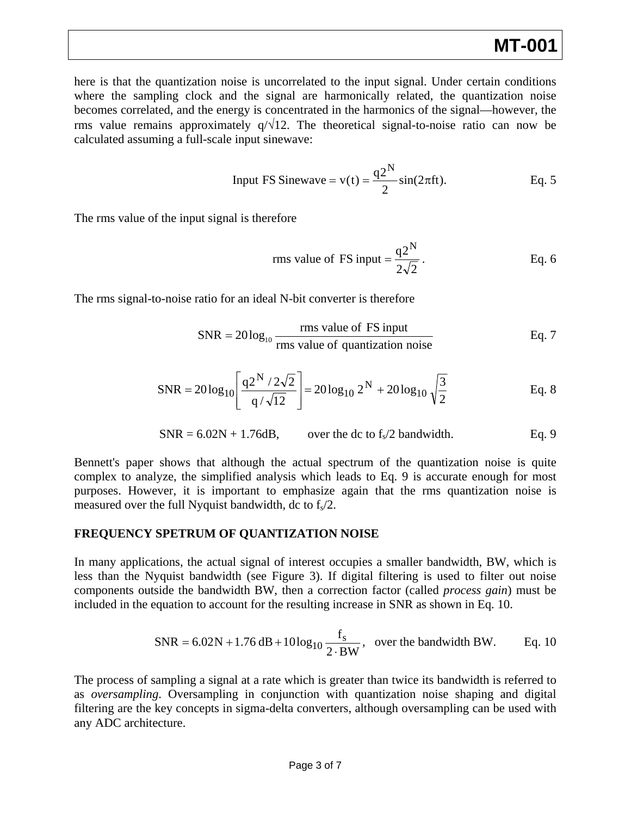# **MT-001**

here is that the quantization noise is uncorrelated to the input signal. Under certain conditions where the sampling clock and the signal are harmonically related, the quantization noise becomes correlated, and the energy is concentrated in the harmonics of the signal—however, the rms value remains approximately  $q/\sqrt{12}$ . The theoretical signal-to-noise ratio can now be calculated assuming a full-scale input sinewave:

Input FS Since 
$$
v(t) = \frac{q2^N}{2} \sin(2\pi ft)
$$
. Eq. 5

The rms value of the input signal is therefore

rms value of FS input = 
$$
\frac{q2^N}{2\sqrt{2}}
$$
. Eq. 6

The rms signal-to-noise ratio for an ideal N-bit converter is therefore

$$
SNR = 20\log_{10}\frac{rms value of FS input}{rms value of quantization noise}
$$
 Eq. 7

$$
SNR = 20\log_{10}\left[\frac{q2^{N}/2\sqrt{2}}{q/\sqrt{12}}\right] = 20\log_{10} 2^{N} + 20\log_{10} \sqrt{\frac{3}{2}}
$$
 Eq. 8

$$
SNR = 6.02N + 1.76dB,
$$
 over the dc to f<sub>s</sub>/2 bandwidth. Eq. 9

Bennett's paper shows that although the actual spectrum of the quantization noise is quite complex to analyze, the simplified analysis which leads to Eq. 9 is accurate enough for most purposes. However, it is important to emphasize again that the rms quantization noise is measured over the full Nyquist bandwidth, dc to  $f<sub>s</sub>/2$ .

#### **FREQUENCY SPETRUM OF QUANTIZATION NOISE**

In many applications, the actual signal of interest occupies a smaller bandwidth, BW, which is less than the Nyquist bandwidth (see Figure 3). If digital filtering is used to filter out noise components outside the bandwidth BW, then a correction factor (called *process gain*) must be included in the equation to account for the resulting increase in SNR as shown in Eq. 10.

$$
SNR = 6.02N + 1.76 dB + 10\log_{10}\frac{f_s}{2 \cdot BW}, \text{ over the bandwidth BW.} \qquad \text{Eq. 10}
$$

The process of sampling a signal at a rate which is greater than twice its bandwidth is referred to as *oversampling*. Oversampling in conjunction with quantization noise shaping and digital filtering are the key concepts in sigma-delta converters, although oversampling can be used with any ADC architecture.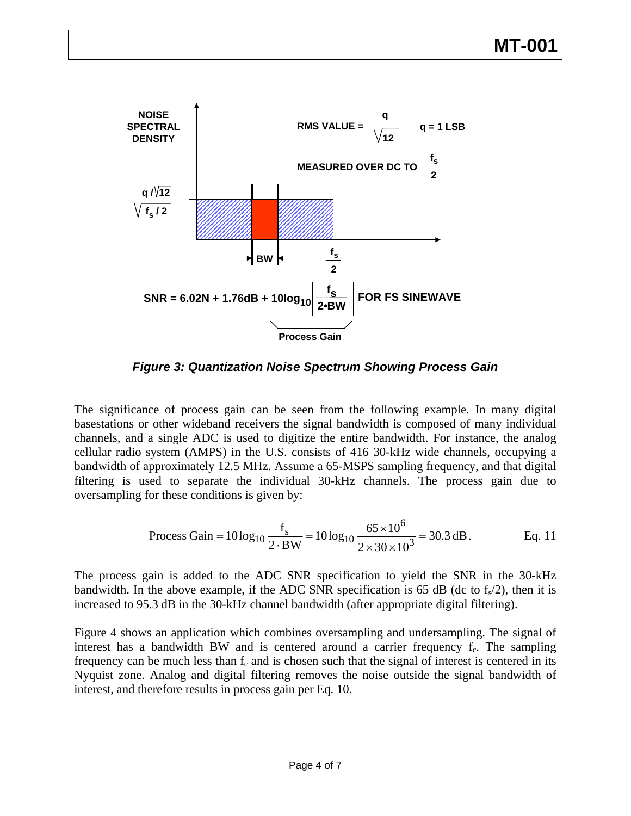

*Figure 3: Quantization Noise Spectrum Showing Process Gain* 

The significance of process gain can be seen from the following example. In many digital basestations or other wideband receivers the signal bandwidth is composed of many individual channels, and a single ADC is used to digitize the entire bandwidth. For instance, the analog cellular radio system (AMPS) in the U.S. consists of 416 30-kHz wide channels, occupying a bandwidth of approximately 12.5 MHz. Assume a 65-MSPS sampling frequency, and that digital filtering is used to separate the individual 30-kHz channels. The process gain due to oversampling for these conditions is given by:

Process Gain = 
$$
10 \log_{10} \frac{f_s}{2 \cdot BW} = 10 \log_{10} \frac{65 \times 10^6}{2 \times 30 \times 10^3} = 30.3 \text{ dB}.
$$
 Eq. 11

The process gain is added to the ADC SNR specification to yield the SNR in the 30-kHz bandwidth. In the above example, if the ADC SNR specification is 65 dB (dc to  $f<sub>s</sub>/2$ ), then it is increased to 95.3 dB in the 30-kHz channel bandwidth (after appropriate digital filtering).

Figure 4 shows an application which combines oversampling and undersampling. The signal of interest has a bandwidth BW and is centered around a carrier frequency  $f_c$ . The sampling frequency can be much less than  $f_c$  and is chosen such that the signal of interest is centered in its Nyquist zone. Analog and digital filtering removes the noise outside the signal bandwidth of interest, and therefore results in process gain per Eq. 10.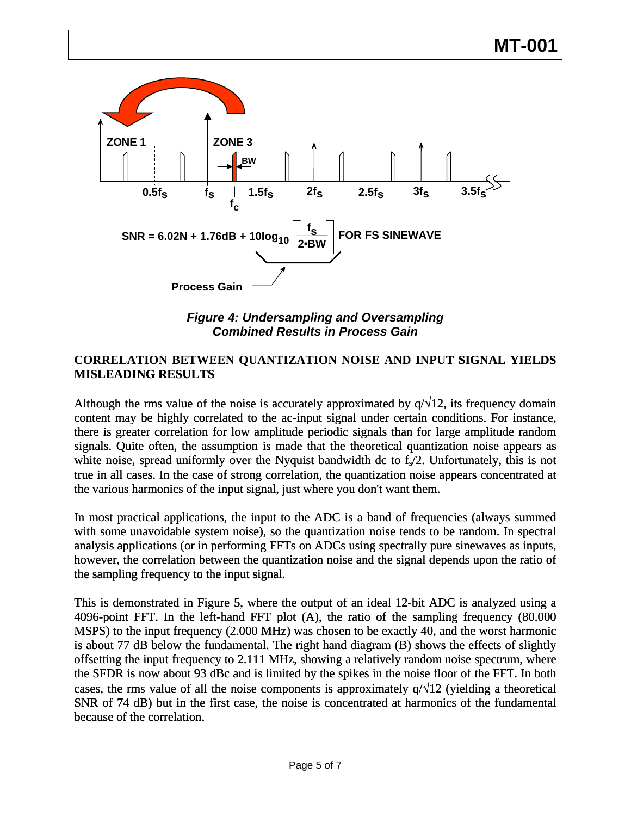

*Figure 4: Undersampling and Oversampling Combined Results in Process Gain* 

# CORRELATION BETWEEN QUANTIZATION NOISE AND INPUT SIGNAL YIELDS **MISLEADING RESULTS**

Although the rms value of the noise is accurately approximated by  $q/\sqrt{12}$ , its frequency domain content may be highly correlated to the ac-input signal under certain conditions. For instance, there is greater correlation for low amplitude periodic signals than for large amplitude random signals. Quite often, the assumption is made that the theoretical quantization noise appears as white noise, spread uniformly over the Nyquist bandwidth dc to  $f<sub>s</sub>/2$ . Unfortunately, this is not true in all cases. In the case of strong correlation, the quantization noise appears concentrated at the various harmonics of the input signal, just where you don't want them.

In most practical applications, the input to the ADC is a band of frequencies (always summed with some unavoidable system noise), so the quantization noise tends to be random. In spectral analysis applications (or in performing FFTs on ADCs using spectrally pure sinewaves as inputs, however, the correlation between the quantization noise and the signal depends upon the ratio of the sampling frequency to the input signal.

This is demonstrated in Figure 5, where the output of an ideal 12-bit ADC is analyzed using a 4096-point FFT. In the left-hand FFT plot (A), the ratio of the sampling frequency (80.000 MSPS) to the input frequency (2.000 MHz) was chosen to be exactly 40, and the worst harmonic is about 77 dB below the fundamental. The right hand diagram (B) shows the effects of slightly offsetting the input frequency to 2.111 MHz, showing a relatively random noise spectrum, where the SFDR is now about 93 dBc and is limited by the spikes in the noise floor of the FFT. In both cases, the rms value of all the noise components is approximately  $q/\sqrt{12}$  (yielding a theoretical SNR of 74 dB) but in the first case, the noise is concentrated at harmonics of the fundamental because of the correlation.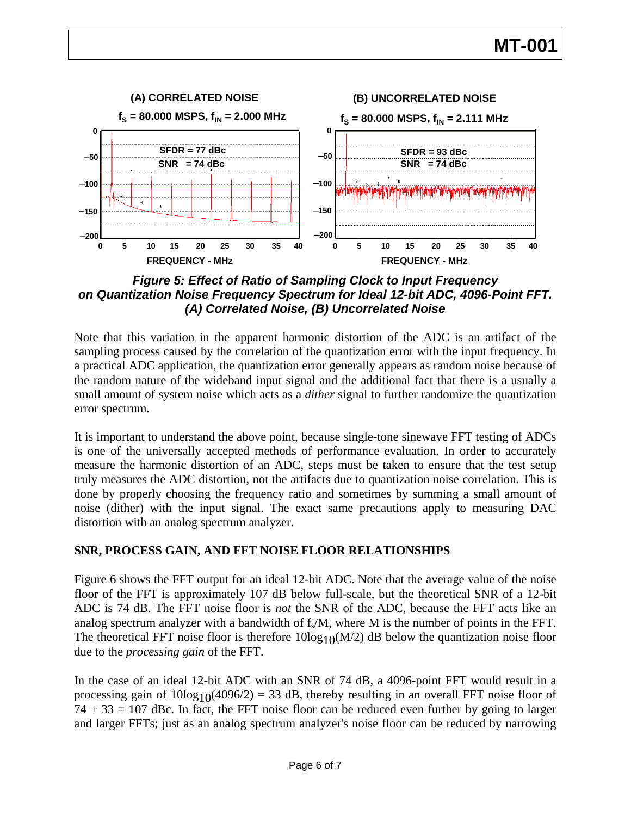

*Figure 5: Effect of Ratio of Sampling Clock to Input Frequency on Quantization Noise Frequency Spectrum for Ideal 12-bit ADC, 4096-Point FFT. (A) Correlated Noise, (B) Uncorrelated Noise* 

Note that this variation in the apparent harmonic distortion of the ADC is an artifact of the sampling process caused by the correlation of the quantization error with the input frequency. In a practical ADC application, the quantization error generally appears as random noise because of the random nature of the wideband input signal and the additional fact that there is a usually a small amount of system noise which acts as a *dither* signal to further randomize the quantization error spectrum.

It is important to understand the above point, because single-tone sinewave FFT testing of ADCs is one of the universally accepted methods of performance evaluation. In order to accurately measure the harmonic distortion of an ADC, steps must be taken to ensure that the test setup truly measures the ADC distortion, not the artifacts due to quantization noise correlation. This is done by properly choosing the frequency ratio and sometimes by summing a small amount of noise (dither) with the input signal. The exact same precautions apply to measuring DAC distortion with an analog spectrum analyzer.

# **SNR, PROCESS GAIN, AND FFT NOISE FLOOR RELATIONSHIPS**

Figure 6 shows the FFT output for an ideal 12-bit ADC. Note that the average value of the noise floor of the FFT is approximately 107 dB below full-scale, but the theoretical SNR of a 12-bit ADC is 74 dB. The FFT noise floor is *not* the SNR of the ADC, because the FFT acts like an analog spectrum analyzer with a bandwidth of  $f_s/M$ , where M is the number of points in the FFT. The theoretical FFT noise floor is therefore  $10\log_{10}(M/2)$  dB below the quantization noise floor due to the *processing gain* of the FFT.

In the case of an ideal 12-bit ADC with an SNR of 74 dB, a 4096-point FFT would result in a processing gain of  $10\log_{10}(4096/2) = 33$  dB, thereby resulting in an overall FFT noise floor of  $74 + 33 = 107$  dBc. In fact, the FFT noise floor can be reduced even further by going to larger and larger FFTs; just as an analog spectrum analyzer's noise floor can be reduced by narrowing